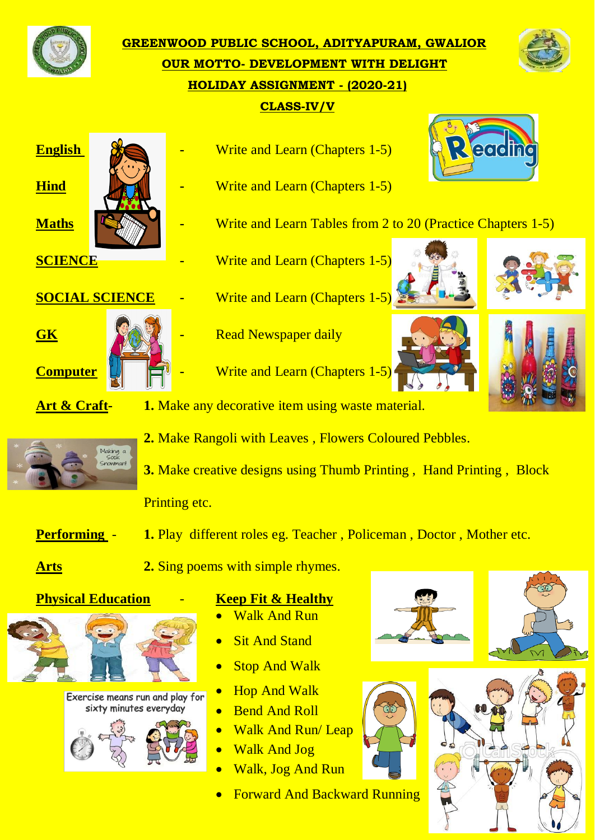

**GREENWOOD PUBLIC SCHOOL, ADITYAPURAM, GWALIOR OUR MOTTO- DEVELOPMENT WITH DELIGHT HOLIDAY ASSIGNMENT - (2020-21) CLASS-IV/V**





- **English**  $\frac{1}{2}$  **Chapters** 1-5)
- **Hind -** Write and Learn (Chapters 1-5)
- **Maths EXALCEC -** Write and Learn Tables from 2 to 20 (Practice Chapters 1-5)
- **SCIENCE -** Write and Learn (Chapters 1-5)
- **SOCIAL SCIENCE -** Write and Learn (Chapters 1-5)



- **GK -** Read Newspaper daily
- **Computer 4. EXECUTE:** Write and Learn (Chapters 1-5)





each



**Art & Craft- 1.** Make any decorative item using waste material.



**2.** Make Rangoli with Leaves , Flowers Coloured Pebbles.

**3.** Make creative designs using Thumb Printing, Hand Printing, Block Printing etc.

- **Performing 1.** Play different roles eg. Teacher , Policeman , Doctor , Mother etc.
- **Arts 2.** Sing poems with simple rhymes.



Exercise means run and play for sixty minutes everyday



- **Physical Education Keep Fit & Healthy**
	- Walk And Run
	- Sit And Stand
	- Stop And Walk
	- Hop And Walk
	- Bend And Roll
	- Walk And Run/ Leap
	- Walk And Jog
	- Walk, Jog And Run
	- Forward And Backward Running